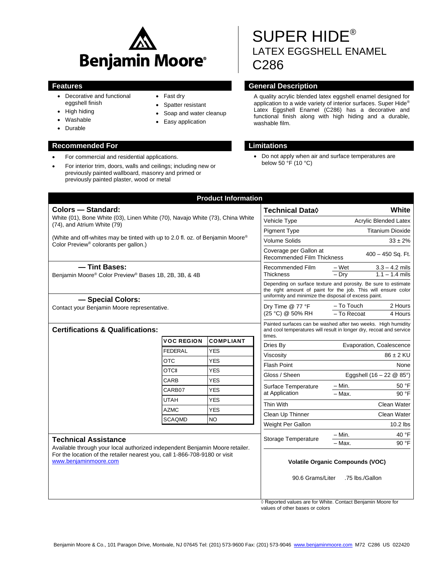

• Fast dry • Spatter resistant • Soap and water cleanup • Easy application

- Decorative and functional eggshell finish
- High hiding
- Washable
- Durable

# **Recommended For Limitations**

- For commercial and residential applications.
- For interior trim, doors, walls and ceilings; including new or previously painted wallboard, masonry and primed or previously painted plaster, wood or metal

# SUPER HIDE® LATEX EGGSHELL ENAMEL C286

# **Features General Description**

A quality acrylic blended latex eggshell enamel designed for application to a wide variety of interior surfaces. Super Hide® Latex Eggshell Enamel (C286) has a decorative and functional finish along with high hiding and a durable, washable film.

 Do not apply when air and surface temperatures are below  $50 °F$  (10 °C)

| <b>Colors - Standard:</b>                                                                                                          |                                                                                                                                            | <b>Technical Data</b> ♦                                                                                                                                                                                                                                     | White                                                                                                                                |
|------------------------------------------------------------------------------------------------------------------------------------|--------------------------------------------------------------------------------------------------------------------------------------------|-------------------------------------------------------------------------------------------------------------------------------------------------------------------------------------------------------------------------------------------------------------|--------------------------------------------------------------------------------------------------------------------------------------|
| White (01), Bone White (03), Linen White (70), Navajo White (73), China White<br>(74), and Atrium White (79)                       |                                                                                                                                            |                                                                                                                                                                                                                                                             | <b>Acrylic Blended Latex</b>                                                                                                         |
|                                                                                                                                    |                                                                                                                                            |                                                                                                                                                                                                                                                             | <b>Titanium Dioxide</b>                                                                                                              |
| (White and off-whites may be tinted with up to 2.0 fl. oz. of Benjamin Moore®<br>Color Preview <sup>®</sup> colorants per gallon.) |                                                                                                                                            | <b>Volume Solids</b>                                                                                                                                                                                                                                        | $33 \pm 2\%$                                                                                                                         |
|                                                                                                                                    |                                                                                                                                            | Coverage per Gallon at<br><b>Recommended Film Thickness</b>                                                                                                                                                                                                 | 400 - 450 Sq. Ft.                                                                                                                    |
| - Tint Bases:<br>Benjamin Moore® Color Preview® Bases 1B, 2B, 3B, & 4B                                                             |                                                                                                                                            | Recommended Film<br>Thickness                                                                                                                                                                                                                               | $3.3 - 4.2$ mils<br>– Wet<br>$-$ Dry<br>$1.1 - 1.4$ mils                                                                             |
|                                                                                                                                    |                                                                                                                                            | uniformity and minimize the disposal of excess paint.                                                                                                                                                                                                       | Depending on surface texture and porosity. Be sure to estimate<br>the right amount of paint for the job. This will ensure color      |
| - Special Colors:<br>Contact your Benjamin Moore representative.                                                                   |                                                                                                                                            | Dry Time @ 77 °F<br>(25 °C) @ 50% RH                                                                                                                                                                                                                        | - To Touch<br>2 Hours<br>- To Recoat<br>4 Hours                                                                                      |
|                                                                                                                                    |                                                                                                                                            | times.                                                                                                                                                                                                                                                      | Painted surfaces can be washed after two weeks. High humidity<br>and cool temperatures will result in longer dry, recoat and service |
| <b>VOC REGION</b>                                                                                                                  | <b>COMPLIANT</b>                                                                                                                           | Dries By                                                                                                                                                                                                                                                    | Evaporation, Coalescence                                                                                                             |
| <b>FEDERAL</b>                                                                                                                     | <b>YES</b>                                                                                                                                 | Viscositv                                                                                                                                                                                                                                                   | 86 ± 2 KU                                                                                                                            |
|                                                                                                                                    |                                                                                                                                            | <b>Flash Point</b>                                                                                                                                                                                                                                          | None                                                                                                                                 |
|                                                                                                                                    |                                                                                                                                            | Gloss / Sheen                                                                                                                                                                                                                                               | Eggshell $(16 - 22 \& 85^{\circ})$                                                                                                   |
|                                                                                                                                    |                                                                                                                                            | Surface Temperature<br>at Application                                                                                                                                                                                                                       | – Min.<br>50 °F                                                                                                                      |
|                                                                                                                                    |                                                                                                                                            |                                                                                                                                                                                                                                                             | 90 °F<br>- Max.                                                                                                                      |
|                                                                                                                                    |                                                                                                                                            | Thin With                                                                                                                                                                                                                                                   | Clean Water                                                                                                                          |
|                                                                                                                                    |                                                                                                                                            | Clean Up Thinner                                                                                                                                                                                                                                            | Clean Water                                                                                                                          |
|                                                                                                                                    |                                                                                                                                            | Weight Per Gallon                                                                                                                                                                                                                                           | $10.2$ lbs                                                                                                                           |
| <b>Technical Assistance</b>                                                                                                        |                                                                                                                                            |                                                                                                                                                                                                                                                             | $-$ Min.<br>40 °F<br>90 °F<br>- Max.                                                                                                 |
|                                                                                                                                    |                                                                                                                                            | 90.6 Grams/Liter                                                                                                                                                                                                                                            | <b>Volatile Organic Compounds (VOC)</b><br>.75 lbs./Gallon                                                                           |
|                                                                                                                                    | <b>Certifications &amp; Qualifications:</b><br><b>OTC</b><br><b>OTCII</b><br>CARB<br>CARB07<br><b>UTAH</b><br><b>AZMC</b><br><b>SCAQMD</b> | <b>YES</b><br><b>YES</b><br><b>YES</b><br><b>YES</b><br><b>YES</b><br><b>YES</b><br><b>NO</b><br>Available through your local authorized independent Benjamin Moore retailer.<br>For the location of the retailer nearest you, call 1-866-708-9180 or visit | Vehicle Type<br><b>Pigment Type</b><br><b>Storage Temperature</b>                                                                    |